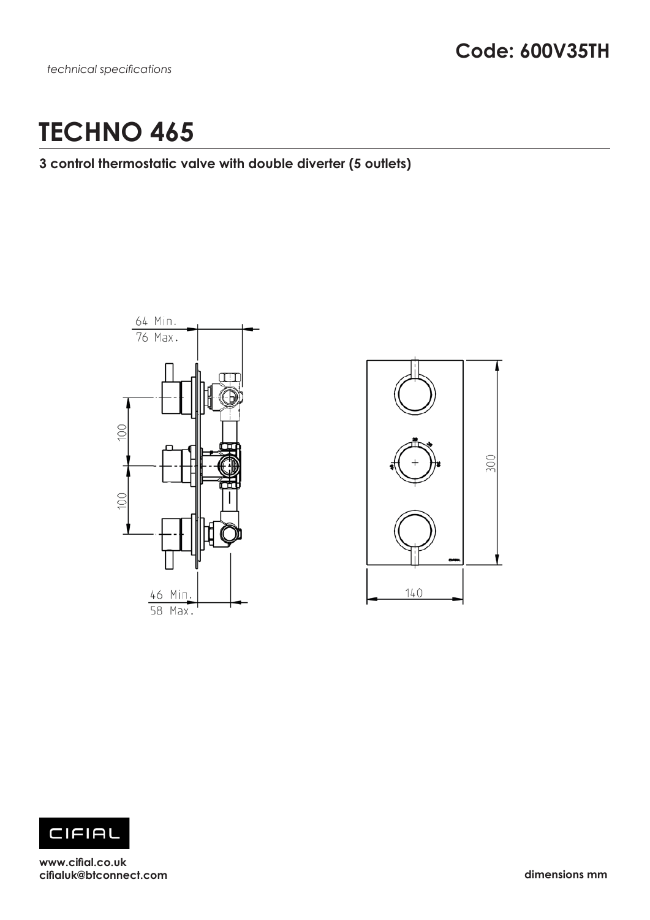# **TECHNO 465**

### **3 control thermostatic valve with double diverter (5 outlets)**







**www.cifial.co.uk cifialuk@btconnect.com dimensions mm**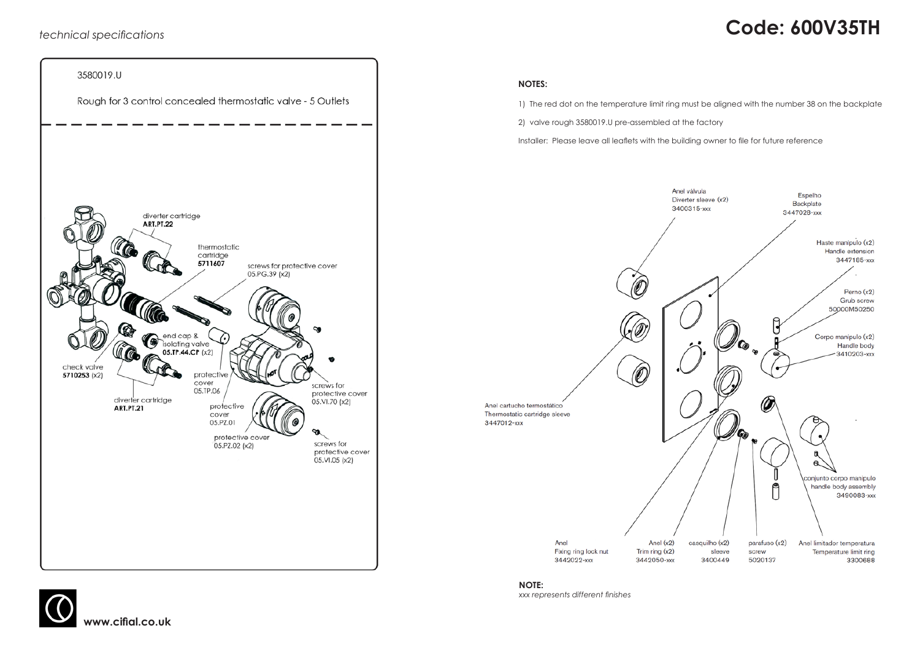# *technical specifications* **Code: 600V35TH**



### **NOTES:**

1) The red dot on the temperature limit ring must be aligned with the number 38 on the backplate

2) valve rough 3580019.U pre-assembled at the factory

Installer: Please leave all leaflets with the building owner to file for future reference





**www.cifial.co.uk**